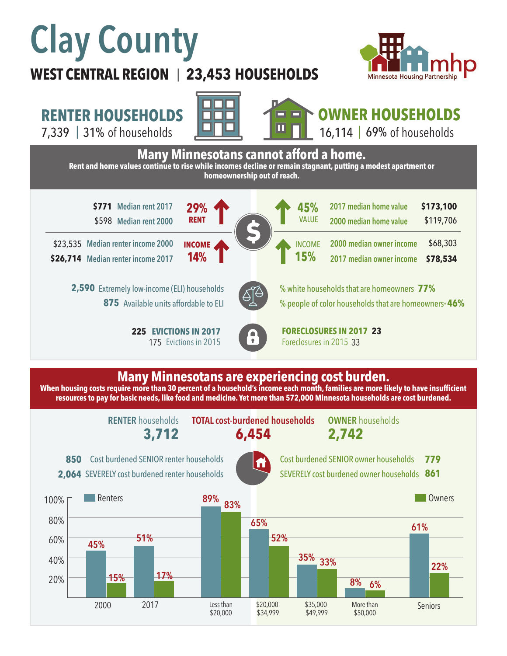# **Clay County**

## **WEST CENTRAL REGION 23,453 HOUSEHOLDS**  |



\$119,706

\$68,303 **\$78,534**

# **RENTER HOUSEHOLDS**

7,339 | of households 31% 69%



**29%**

**RENT**

**14%**

**INCOME**



**OWNER HOUSEHOLDS** 16,114 | 69% of households

**Many Minnesotans cannot afford a home. Rent and home values continue to rise while incomes decline or remain stagnant, putting a modest apartment or homeownership out of reach.**

**\$771** Median rent 2017 **29% • COVID-100 43%** 2017 median home value **\$173,100** \$598 **Median rent 2000**

**Median renter income 2000**  \$23,535 **Median renter income 2017 \$26,714**

> 2,590 Extremely low-income (ELI) households 875 Available units affordable to ELI

> > **225 EVICTIONS IN 2017** 175 Evictions in 2015



% white households that are homeowners **77%** % people of color households that are homeowners\* **46%**

**2000 median owner income 2017 median owner income** 

**2017 median home value 2000 median home value** 

**EVICTIONS IN 2017 FORECLOSURES IN 2017 23** Foreclosures in 2015 33

**45%**

VALUE

**15%**

INCOME

#### **Many Minnesotans are experiencing cost burden.**

**When housing costs require more than 30 percent of a household's income each month, families are more likely to have insufficient resources to pay for basic needs, like food and medicine. Yet more than 572,000 Minnesota households are cost burdened.**